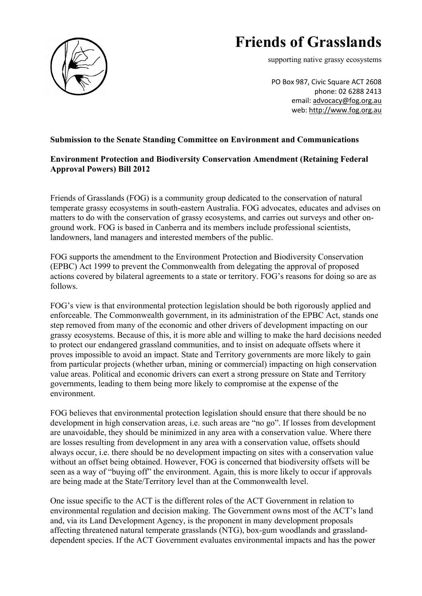

## **Friends of Grasslands**

supporting native grassy ecosystems

PO Box 987, Civic Square ACT 2608 phone: 02 6288 2413 email: advocacy@fog.org.au web: http://www.fog.org.au

## **Submission to the Senate Standing Committee on Environment and Communications**

## **Environment Protection and Biodiversity Conservation Amendment (Retaining Federal Approval Powers) Bill 2012**

Friends of Grasslands (FOG) is a community group dedicated to the conservation of natural temperate grassy ecosystems in south-eastern Australia. FOG advocates, educates and advises on matters to do with the conservation of grassy ecosystems, and carries out surveys and other onground work. FOG is based in Canberra and its members include professional scientists, landowners, land managers and interested members of the public.

FOG supports the amendment to the Environment Protection and Biodiversity Conservation (EPBC) Act 1999 to prevent the Commonwealth from delegating the approval of proposed actions covered by bilateral agreements to a state or territory. FOG's reasons for doing so are as follows.

FOG's view is that environmental protection legislation should be both rigorously applied and enforceable. The Commonwealth government, in its administration of the EPBC Act, stands one step removed from many of the economic and other drivers of development impacting on our grassy ecosystems. Because of this, it is more able and willing to make the hard decisions needed to protect our endangered grassland communities, and to insist on adequate offsets where it proves impossible to avoid an impact. State and Territory governments are more likely to gain from particular projects (whether urban, mining or commercial) impacting on high conservation value areas. Political and economic drivers can exert a strong pressure on State and Territory governments, leading to them being more likely to compromise at the expense of the environment.

FOG believes that environmental protection legislation should ensure that there should be no development in high conservation areas, i.e. such areas are "no go". If losses from development are unavoidable, they should be minimized in any area with a conservation value. Where there are losses resulting from development in any area with a conservation value, offsets should always occur, i.e. there should be no development impacting on sites with a conservation value without an offset being obtained. However, FOG is concerned that biodiversity offsets will be seen as a way of "buying off" the environment. Again, this is more likely to occur if approvals are being made at the State/Territory level than at the Commonwealth level.

One issue specific to the ACT is the different roles of the ACT Government in relation to environmental regulation and decision making. The Government owns most of the ACT's land and, via its Land Development Agency, is the proponent in many development proposals affecting threatened natural temperate grasslands (NTG), box-gum woodlands and grasslanddependent species. If the ACT Government evaluates environmental impacts and has the power